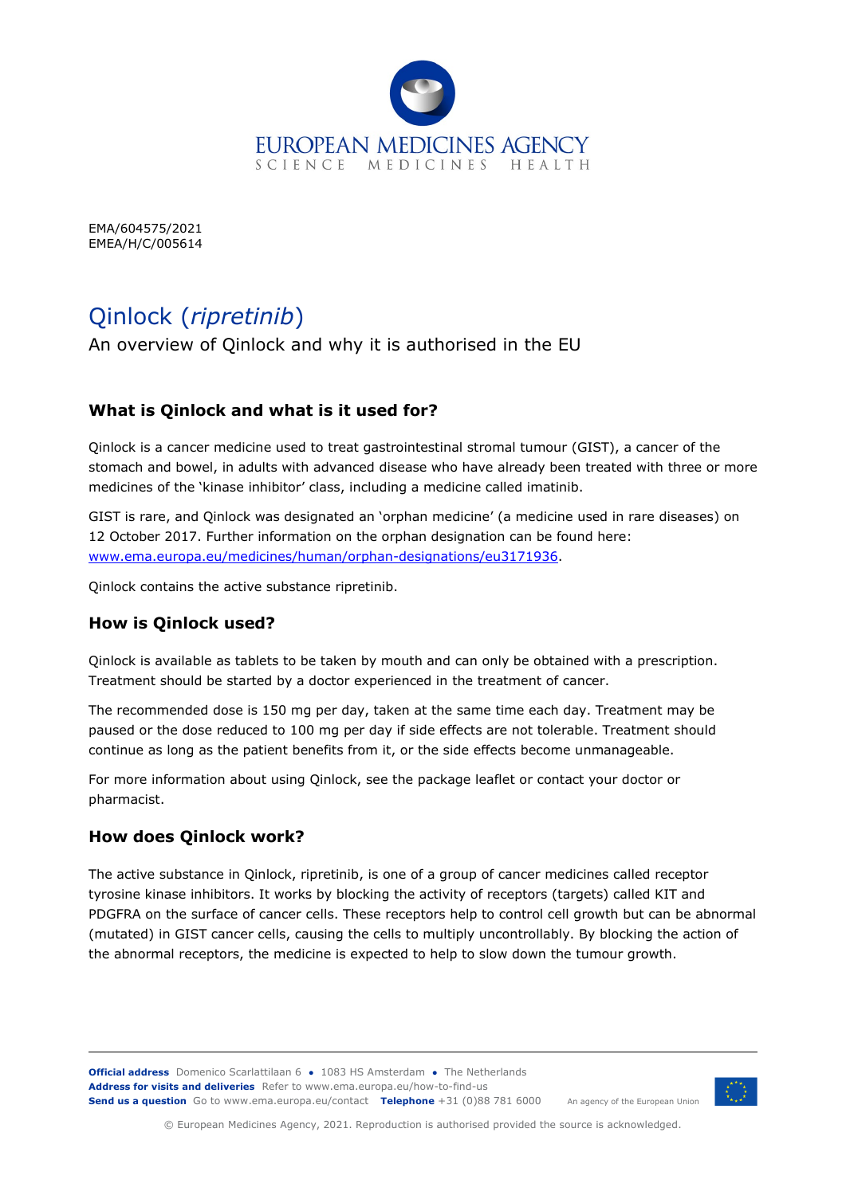

EMA/604575/2021 EMEA/H/C/005614

# Qinlock (*ripretinib*)

An overview of Qinlock and why it is authorised in the EU

## **What is Qinlock and what is it used for?**

Qinlock is a cancer medicine used to treat gastrointestinal stromal tumour (GIST), a cancer of the stomach and bowel, in adults with advanced disease who have already been treated with three or more medicines of the 'kinase inhibitor' class, including a medicine called imatinib.

GIST is rare, and Qinlock was designated an 'orphan medicine' (a medicine used in rare diseases) on 12 October 2017. Further information on the orphan designation can be found here: [www.ema.europa.eu/medicines/human/orphan-designations/eu3171936.](http://www.ema.europa.eu/medicines/human/orphan-designations/eu3171936)

Qinlock contains the active substance ripretinib.

#### **How is Qinlock used?**

Qinlock is available as tablets to be taken by mouth and can only be obtained with a prescription. Treatment should be started by a doctor experienced in the treatment of cancer.

The recommended dose is 150 mg per day, taken at the same time each day. Treatment may be paused or the dose reduced to 100 mg per day if side effects are not tolerable. Treatment should continue as long as the patient benefits from it, or the side effects become unmanageable.

For more information about using Qinlock, see the package leaflet or contact your doctor or pharmacist.

#### **How does Qinlock work?**

The active substance in Qinlock, ripretinib, is one of a group of cancer medicines called receptor tyrosine kinase inhibitors. It works by blocking the activity of receptors (targets) called KIT and PDGFRA on the surface of cancer cells. These receptors help to control cell growth but can be abnormal (mutated) in GIST cancer cells, causing the cells to multiply uncontrollably. By blocking the action of the abnormal receptors, the medicine is expected to help to slow down the tumour growth.

**Official address** Domenico Scarlattilaan 6 **●** 1083 HS Amsterdam **●** The Netherlands An agency of the European Union **Address for visits and deliveries** Refer to [www.ema.europa.eu/how-to-find-us](http://www.ema.europa.eu/how-to-find-us) **Send us a question** Go t[o www.ema.europa.eu/contact](http://www.ema.europa.eu/contact) **Telephone** +31 (0)88 781 6000



© European Medicines Agency, 2021. Reproduction is authorised provided the source is acknowledged.